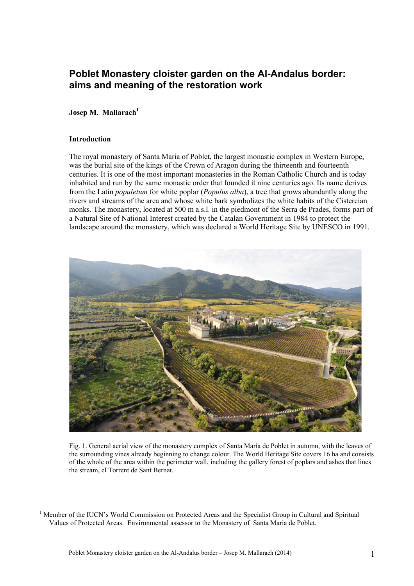# **Poblet Monastery cloister garden on the Al-Andalus border: aims and meaning of the restoration work**

# **Josep M. Mallarach<sup>1</sup>**

## **Introduction**

The royal monastery of Santa Maria of Poblet, the largest monastic complex in Western Europe, was the burial site of the kings of the Crown of Aragon during the thirteenth and fourteenth centuries. It is one of the most important monasteries in the Roman Catholic Church and is today inhabited and run by the same monastic order that founded it nine centuries ago. Its name derives from the Latin *populetum* for white poplar (*Populus alba*), a tree that grows abundantly along the rivers and streams of the area and whose white bark symbolizes the white habits of the Cistercian monks. The monastery, located at 500 m a.s.l. in the piedmont of the Serra de Prades, forms part of a Natural Site of National Interest created by the Catalan Government in 1984 to protect the landscape around the monastery, which was declared a World Heritage Site by UNESCO in 1991.



Fig. 1. General aerial view of the monastery complex of Santa María de Poblet in autumn, with the leaves of the surrounding vines already beginning to change colour. The World Heritage Site covers 16 ha and consists of the whole of the area within the perimeter wall, including the gallery forest of poplars and ashes that lines the stream, el Torrent de Sant Bernat.

 $\frac{1}{1}$  Member of the IUCN's World Commission on Protected Areas and the Specialist Group in Cultural and Spiritual Values of Protected Areas. Environmental assessor to the Monastery of Santa Maria de Poblet.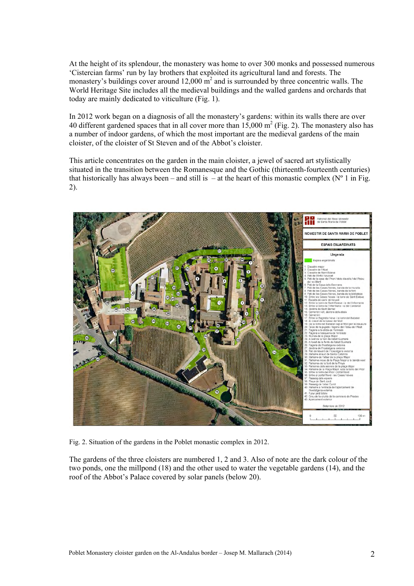At the height of its splendour, the monastery was home to over 300 monks and possessed numerous 'Cistercian farms' run by lay brothers that exploited its agricultural land and forests. The monastery's buildings cover around 12,000  $\text{m}^2$  and is surrounded by three concentric walls. The World Heritage Site includes all the medieval buildings and the walled gardens and orchards that today are mainly dedicated to viticulture (Fig. 1).

In 2012 work began on a diagnosis of all the monastery's gardens: within its walls there are over 40 different gardened spaces that in all cover more than  $15,000 \text{ m}^2$  (Fig. 2). The monastery also has a number of indoor gardens, of which the most important are the medieval gardens of the main cloister, of the cloister of St Steven and of the Abbot's cloister.

This article concentrates on the garden in the main cloister, a jewel of sacred art stylistically situated in the transition between the Romanesque and the Gothic (thirteenth-fourteenth centuries) that historically has always been – and still is – at the heart of this monastic complex ( $N^{\circ}$  1 in Fig. 2).



Fig. 2. Situation of the gardens in the Poblet monastic complex in 2012.

The gardens of the three cloisters are numbered 1, 2 and 3. Also of note are the dark colour of the two ponds, one the millpond (18) and the other used to water the vegetable gardens (14), and the roof of the Abbot's Palace covered by solar panels (below 20).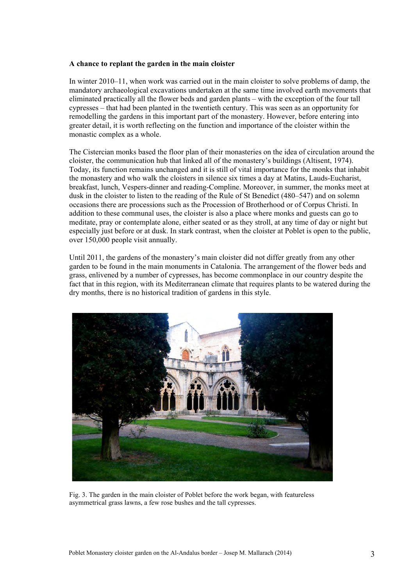#### **A chance to replant the garden in the main cloister**

In winter 2010–11, when work was carried out in the main cloister to solve problems of damp, the mandatory archaeological excavations undertaken at the same time involved earth movements that eliminated practically all the flower beds and garden plants – with the exception of the four tall cypresses – that had been planted in the twentieth century. This was seen as an opportunity for remodelling the gardens in this important part of the monastery. However, before entering into greater detail, it is worth reflecting on the function and importance of the cloister within the monastic complex as a whole.

The Cistercian monks based the floor plan of their monasteries on the idea of circulation around the cloister, the communication hub that linked all of the monastery's buildings (Altisent, 1974). Today, its function remains unchanged and it is still of vital importance for the monks that inhabit the monastery and who walk the cloisters in silence six times a day at Matins, Lauds-Eucharist, breakfast, lunch, Vespers-dinner and reading-Compline. Moreover, in summer, the monks meet at dusk in the cloister to listen to the reading of the Rule of St Benedict (480–547) and on solemn occasions there are processions such as the Procession of Brotherhood or of Corpus Christi. In addition to these communal uses, the cloister is also a place where monks and guests can go to meditate, pray or contemplate alone, either seated or as they stroll, at any time of day or night but especially just before or at dusk. In stark contrast, when the cloister at Poblet is open to the public, over 150,000 people visit annually.

Until 2011, the gardens of the monastery's main cloister did not differ greatly from any other garden to be found in the main monuments in Catalonia. The arrangement of the flower beds and grass, enlivened by a number of cypresses, has become commonplace in our country despite the fact that in this region, with its Mediterranean climate that requires plants to be watered during the dry months, there is no historical tradition of gardens in this style.



Fig. 3. The garden in the main cloister of Poblet before the work began, with featureless asymmetrical grass lawns, a few rose bushes and the tall cypresses.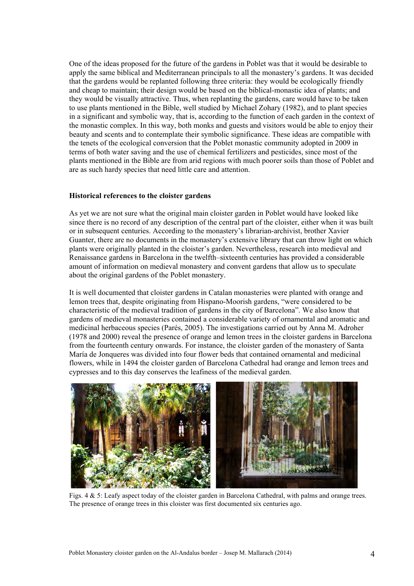One of the ideas proposed for the future of the gardens in Poblet was that it would be desirable to apply the same biblical and Mediterranean principals to all the monastery's gardens. It was decided that the gardens would be replanted following three criteria: they would be ecologically friendly and cheap to maintain; their design would be based on the biblical-monastic idea of plants; and they would be visually attractive. Thus, when replanting the gardens, care would have to be taken to use plants mentioned in the Bible, well studied by Michael Zohary (1982), and to plant species in a significant and symbolic way, that is, according to the function of each garden in the context of the monastic complex. In this way, both monks and guests and visitors would be able to enjoy their beauty and scents and to contemplate their symbolic significance. These ideas are compatible with the tenets of the ecological conversion that the Poblet monastic community adopted in 2009 in terms of both water saving and the use of chemical fertilizers and pesticides, since most of the plants mentioned in the Bible are from arid regions with much poorer soils than those of Poblet and are as such hardy species that need little care and attention.

## **Historical references to the cloister gardens**

As yet we are not sure what the original main cloister garden in Poblet would have looked like since there is no record of any description of the central part of the cloister, either when it was built or in subsequent centuries. According to the monastery's librarian-archivist, brother Xavier Guanter, there are no documents in the monastery's extensive library that can throw light on which plants were originally planted in the cloister's garden. Nevertheless, research into medieval and Renaissance gardens in Barcelona in the twelfth–sixteenth centuries has provided a considerable amount of information on medieval monastery and convent gardens that allow us to speculate about the original gardens of the Poblet monastery.

It is well documented that cloister gardens in Catalan monasteries were planted with orange and lemon trees that, despite originating from Hispano-Moorish gardens, "were considered to be characteristic of the medieval tradition of gardens in the city of Barcelona". We also know that gardens of medieval monasteries contained a considerable variety of ornamental and aromatic and medicinal herbaceous species (Parés, 2005). The investigations carried out by Anna M. Adroher (1978 and 2000) reveal the presence of orange and lemon trees in the cloister gardens in Barcelona from the fourteenth century onwards. For instance, the cloister garden of the monastery of Santa María de Jonqueres was divided into four flower beds that contained ornamental and medicinal flowers, while in 1494 the cloister garden of Barcelona Cathedral had orange and lemon trees and cypresses and to this day conserves the leafiness of the medieval garden.



Figs. 4 & 5: Leafy aspect today of the cloister garden in Barcelona Cathedral, with palms and orange trees. The presence of orange trees in this cloister was first documented six centuries ago.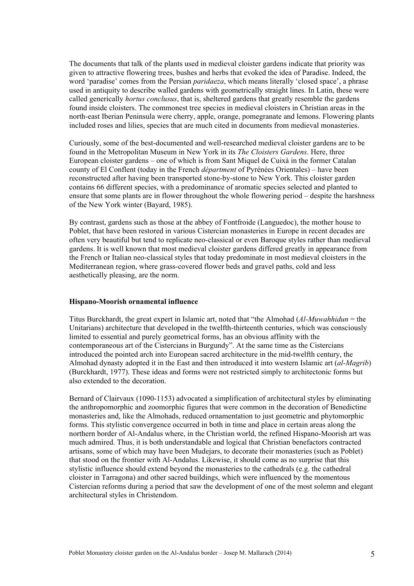The documents that talk of the plants used in medieval cloister gardens indicate that priority was given to attractive flowering trees, bushes and herbs that evoked the idea of Paradise. Indeed, the word 'paradise' comes from the Persian *paridaeza*, which means literally 'closed space', a phrase used in antiquity to describe walled gardens with geometrically straight lines. In Latin, these were called generically *hortus conclusus*, that is, sheltered gardens that greatly resemble the gardens found inside cloisters. The commonest tree species in medieval cloisters in Christian areas in the north-east Iberian Peninsula were cherry, apple, orange, pomegranate and lemons. Flowering plants included roses and lilies, species that are much cited in documents from medieval monasteries.

Curiously, some of the best-documented and well-researched medieval cloister gardens are to be found in the Metropolitan Museum in New York in its *The Cloisters Gardens*. Here, three European cloister gardens – one of which is from Sant Miquel de Cuixà in the former Catalan county of El Conflent (today in the French *départment* of Pyrénées Orientales) – have been reconstructed after having been transported stone-by-stone to New York. This cloister garden contains 66 different species, with a predominance of aromatic species selected and planted to ensure that some plants are in flower throughout the whole flowering period – despite the harshness of the New York winter (Bayard, 1985).

By contrast, gardens such as those at the abbey of Fontfroide (Languedoc), the mother house to Poblet, that have been restored in various Cistercian monasteries in Europe in recent decades are often very beautiful but tend to replicate neo-classical or even Baroque styles rather than medieval gardens. It is well known that most medieval cloister gardens differed greatly in appearance from the French or Italian neo-classical styles that today predominate in most medieval cloisters in the Mediterranean region, where grass-covered flower beds and gravel paths, cold and less aesthetically pleasing, are the norm.

## **Hispano-Moorish ornamental influence**

Titus Burckhardt, the great expert in Islamic art, noted that "the Almohad (*Al-Muwahhidun* = the Unitarians) architecture that developed in the twelfth-thirteenth centuries, which was consciously limited to essential and purely geometrical forms, has an obvious affinity with the contemporaneous art of the Cistercians in Burgundy". At the same time as the Cistercians introduced the pointed arch into European sacred architecture in the mid-twelfth century, the Almohad dynasty adopted it in the East and then introduced it into western Islamic art (*al-Magrib*) (Burckhardt, 1977). These ideas and forms were not restricted simply to architectonic forms but also extended to the decoration.

Bernard of Clairvaux (1090-1153) advocated a simplification of architectural styles by eliminating the anthropomorphic and zoomorphic figures that were common in the decoration of Benedictine monasteries and, like the Almohads, reduced ornamentation to just geometric and phytomorphic forms. This stylistic convergence occurred in both in time and place in certain areas along the northern border of Al-Andalus where, in the Christian world, the refined Hispano-Moorish art was much admired. Thus, it is both understandable and logical that Christian benefactors contracted artisans, some of which may have been Mudejars, to decorate their monasteries (such as Poblet) that stood on the frontier with Al-Andalus. Likewise, it should come as no surprise that this stylistic influence should extend beyond the monasteries to the cathedrals (e.g. the cathedral cloister in Tarragona) and other sacred buildings, which were influenced by the momentous Cistercian reforms during a period that saw the development of one of the most solemn and elegant architectural styles in Christendom.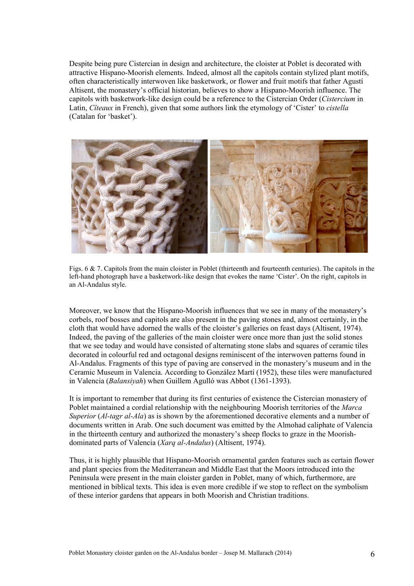Despite being pure Cistercian in design and architecture, the cloister at Poblet is decorated with attractive Hispano-Moorish elements. Indeed, almost all the capitols contain stylized plant motifs, often characteristically interwoven like basketwork, or flower and fruit motifs that father Agustí Altisent, the monastery's official historian, believes to show a Hispano-Moorish influence. The capitols with basketwork-like design could be a reference to the Cistercian Order (*Cistercium* in Latin, *Cîteaux* in French), given that some authors link the etymology of 'Cister' to *cistella* (Catalan for 'basket').



Figs. 6 & 7. Capitols from the main cloister in Poblet (thirteenth and fourteenth centuries). The capitols in the left-hand photograph have a basketwork-like design that evokes the name 'Cister'. On the right, capitols in an Al-Andalus style.

Moreover, we know that the Hispano-Moorish influences that we see in many of the monastery's corbels, roof bosses and capitols are also present in the paving stones and, almost certainly, in the cloth that would have adorned the walls of the cloister's galleries on feast days (Altisent, 1974). Indeed, the paving of the galleries of the main cloister were once more than just the solid stones that we see today and would have consisted of alternating stone slabs and squares of ceramic tiles decorated in colourful red and octagonal designs reminiscent of the interwoven patterns found in Al-Andalus. Fragments of this type of paving are conserved in the monastery's museum and in the Ceramic Museum in Valencia. According to González Martí (1952), these tiles were manufactured in Valencia (*Balansiyah*) when Guillem Agulló was Abbot (1361-1393).

It is important to remember that during its first centuries of existence the Cistercian monastery of Poblet maintained a cordial relationship with the neighbouring Moorish territories of the *Marca Superior* (*Al-tagr al-Ala*) as is shown by the aforementioned decorative elements and a number of documents written in Arab. One such document was emitted by the Almohad caliphate of Valencia in the thirteenth century and authorized the monastery's sheep flocks to graze in the Moorishdominated parts of Valencia (*Xarq al-Andalus*) (Altisent, 1974).

Thus, it is highly plausible that Hispano-Moorish ornamental garden features such as certain flower and plant species from the Mediterranean and Middle East that the Moors introduced into the Peninsula were present in the main cloister garden in Poblet, many of which, furthermore, are mentioned in biblical texts. This idea is even more credible if we stop to reflect on the symbolism of these interior gardens that appears in both Moorish and Christian traditions.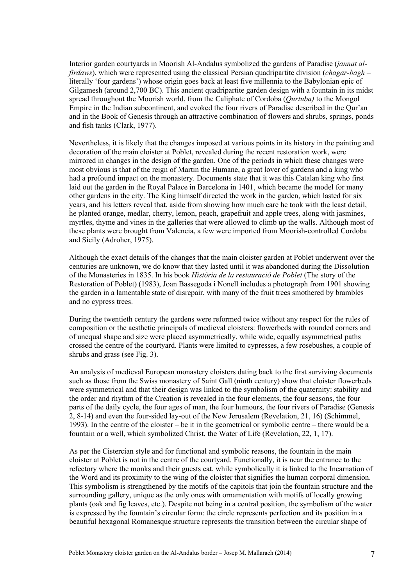Interior garden courtyards in Moorish Al-Andalus symbolized the gardens of Paradise (*jannat alfirdaws*), which were represented using the classical Persian quadripartite division (*chagar-bagh* – literally 'four gardens') whose origin goes back at least five millennia to the Babylonian epic of Gilgamesh (around 2,700 BC). This ancient quadripartite garden design with a fountain in its midst spread throughout the Moorish world, from the Caliphate of Cordoba (*Qurtuba)* to the Mongol Empire in the Indian subcontinent, and evoked the four rivers of Paradise described in the Qur'an and in the Book of Genesis through an attractive combination of flowers and shrubs, springs, ponds and fish tanks (Clark, 1977).

Nevertheless, it is likely that the changes imposed at various points in its history in the painting and decoration of the main cloister at Poblet, revealed during the recent restoration work, were mirrored in changes in the design of the garden. One of the periods in which these changes were most obvious is that of the reign of Martin the Humane, a great lover of gardens and a king who had a profound impact on the monastery. Documents state that it was this Catalan king who first laid out the garden in the Royal Palace in Barcelona in 1401, which became the model for many other gardens in the city. The King himself directed the work in the garden, which lasted for six years, and his letters reveal that, aside from showing how much care he took with the least detail, he planted orange, medlar, cherry, lemon, peach, grapefruit and apple trees, along with jasmines, myrtles, thyme and vines in the galleries that were allowed to climb up the walls. Although most of these plants were brought from Valencia, a few were imported from Moorish-controlled Cordoba and Sicily (Adroher, 1975).

Although the exact details of the changes that the main cloister garden at Poblet underwent over the centuries are unknown, we do know that they lasted until it was abandoned during the Dissolution of the Monasteries in 1835. In his book *Història de la restauració de Poblet* (The story of the Restoration of Poblet) (1983), Joan Bassegoda i Nonell includes a photograph from 1901 showing the garden in a lamentable state of disrepair, with many of the fruit trees smothered by brambles and no cypress trees.

During the twentieth century the gardens were reformed twice without any respect for the rules of composition or the aesthetic principals of medieval cloisters: flowerbeds with rounded corners and of unequal shape and size were placed asymmetrically, while wide, equally asymmetrical paths crossed the centre of the courtyard. Plants were limited to cypresses, a few rosebushes, a couple of shrubs and grass (see Fig. 3).

An analysis of medieval European monastery cloisters dating back to the first surviving documents such as those from the Swiss monastery of Saint Gall (ninth century) show that cloister flowerbeds were symmetrical and that their design was linked to the symbolism of the quaternity: stability and the order and rhythm of the Creation is revealed in the four elements, the four seasons, the four parts of the daily cycle, the four ages of man, the four humours, the four rivers of Paradise (Genesis 2, 8-14) and even the four-sided lay-out of the New Jerusalem (Revelation, 21, 16) (Schimmel, 1993). In the centre of the cloister – be it in the geometrical or symbolic centre – there would be a fountain or a well, which symbolized Christ, the Water of Life (Revelation, 22, 1, 17).

As per the Cistercian style and for functional and symbolic reasons, the fountain in the main cloister at Poblet is not in the centre of the courtyard. Functionally, it is near the entrance to the refectory where the monks and their guests eat, while symbolically it is linked to the Incarnation of the Word and its proximity to the wing of the cloister that signifies the human corporal dimension. This symbolism is strengthened by the motifs of the capitols that join the fountain structure and the surrounding gallery, unique as the only ones with ornamentation with motifs of locally growing plants (oak and fig leaves, etc.). Despite not being in a central position, the symbolism of the water is expressed by the fountain's circular form: the circle represents perfection and its position in a beautiful hexagonal Romanesque structure represents the transition between the circular shape of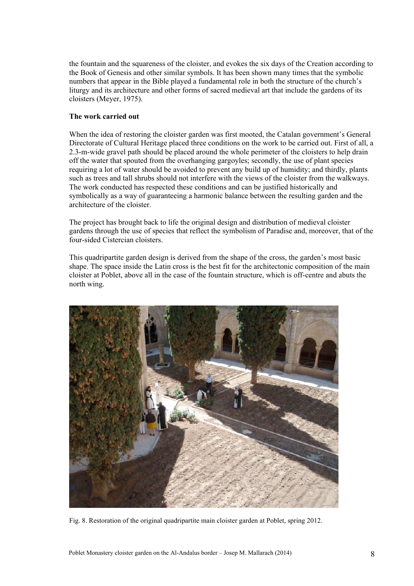the fountain and the squareness of the cloister, and evokes the six days of the Creation according to the Book of Genesis and other similar symbols. It has been shown many times that the symbolic numbers that appear in the Bible played a fundamental role in both the structure of the church's liturgy and its architecture and other forms of sacred medieval art that include the gardens of its cloisters (Meyer, 1975).

# **The work carried out**

When the idea of restoring the cloister garden was first mooted, the Catalan government's General Directorate of Cultural Heritage placed three conditions on the work to be carried out. First of all, a 2.3-m-wide gravel path should be placed around the whole perimeter of the cloisters to help drain off the water that spouted from the overhanging gargoyles; secondly, the use of plant species requiring a lot of water should be avoided to prevent any build up of humidity; and thirdly, plants such as trees and tall shrubs should not interfere with the views of the cloister from the walkways. The work conducted has respected these conditions and can be justified historically and symbolically as a way of guaranteeing a harmonic balance between the resulting garden and the architecture of the cloister.

The project has brought back to life the original design and distribution of medieval cloister gardens through the use of species that reflect the symbolism of Paradise and, moreover, that of the four-sided Cistercian cloisters.

This quadripartite garden design is derived from the shape of the cross, the garden's most basic shape. The space inside the Latin cross is the best fit for the architectonic composition of the main cloister at Poblet, above all in the case of the fountain structure, which is off-centre and abuts the north wing.



Fig. 8. Restoration of the original quadripartite main cloister garden at Poblet, spring 2012.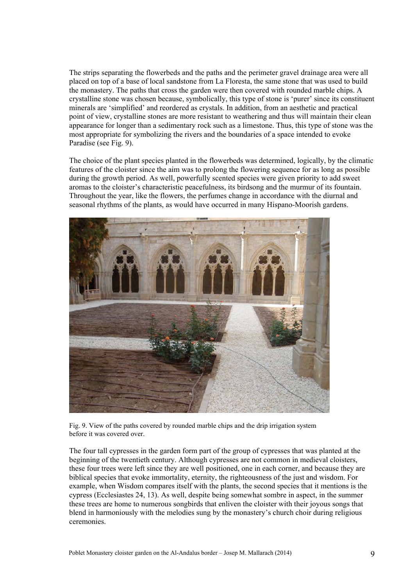The strips separating the flowerbeds and the paths and the perimeter gravel drainage area were all placed on top of a base of local sandstone from La Floresta, the same stone that was used to build the monastery. The paths that cross the garden were then covered with rounded marble chips. A crystalline stone was chosen because, symbolically, this type of stone is 'purer' since its constituent minerals are 'simplified' and reordered as crystals. In addition, from an aesthetic and practical point of view, crystalline stones are more resistant to weathering and thus will maintain their clean appearance for longer than a sedimentary rock such as a limestone. Thus, this type of stone was the most appropriate for symbolizing the rivers and the boundaries of a space intended to evoke Paradise (see Fig. 9).

The choice of the plant species planted in the flowerbeds was determined, logically, by the climatic features of the cloister since the aim was to prolong the flowering sequence for as long as possible during the growth period. As well, powerfully scented species were given priority to add sweet aromas to the cloister's characteristic peacefulness, its birdsong and the murmur of its fountain. Throughout the year, like the flowers, the perfumes change in accordance with the diurnal and seasonal rhythms of the plants, as would have occurred in many Hispano-Moorish gardens.



Fig. 9. View of the paths covered by rounded marble chips and the drip irrigation system before it was covered over.

The four tall cypresses in the garden form part of the group of cypresses that was planted at the beginning of the twentieth century. Although cypresses are not common in medieval cloisters, these four trees were left since they are well positioned, one in each corner, and because they are biblical species that evoke immortality, eternity, the righteousness of the just and wisdom. For example, when Wisdom compares itself with the plants, the second species that it mentions is the cypress (Ecclesiastes 24, 13). As well, despite being somewhat sombre in aspect, in the summer these trees are home to numerous songbirds that enliven the cloister with their joyous songs that blend in harmoniously with the melodies sung by the monastery's church choir during religious ceremonies.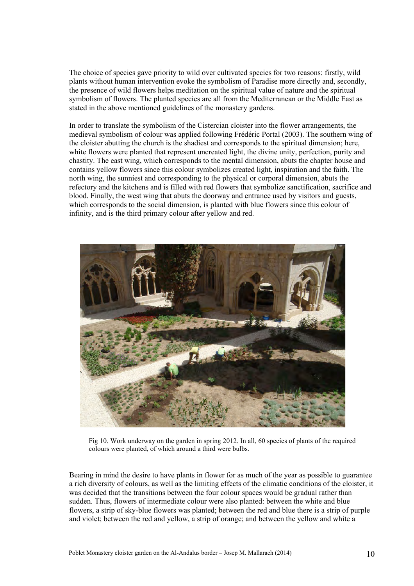The choice of species gave priority to wild over cultivated species for two reasons: firstly, wild plants without human intervention evoke the symbolism of Paradise more directly and, secondly, the presence of wild flowers helps meditation on the spiritual value of nature and the spiritual symbolism of flowers. The planted species are all from the Mediterranean or the Middle East as stated in the above mentioned guidelines of the monastery gardens.

In order to translate the symbolism of the Cistercian cloister into the flower arrangements, the medieval symbolism of colour was applied following Frédéric Portal (2003). The southern wing of the cloister abutting the church is the shadiest and corresponds to the spiritual dimension; here, white flowers were planted that represent uncreated light, the divine unity, perfection, purity and chastity. The east wing, which corresponds to the mental dimension, abuts the chapter house and contains yellow flowers since this colour symbolizes created light, inspiration and the faith. The north wing, the sunniest and corresponding to the physical or corporal dimension, abuts the refectory and the kitchens and is filled with red flowers that symbolize sanctification, sacrifice and blood. Finally, the west wing that abuts the doorway and entrance used by visitors and guests, which corresponds to the social dimension, is planted with blue flowers since this colour of infinity, and is the third primary colour after yellow and red.



Fig 10. Work underway on the garden in spring 2012. In all, 60 species of plants of the required colours were planted, of which around a third were bulbs.

Bearing in mind the desire to have plants in flower for as much of the year as possible to guarantee a rich diversity of colours, as well as the limiting effects of the climatic conditions of the cloister, it was decided that the transitions between the four colour spaces would be gradual rather than sudden. Thus, flowers of intermediate colour were also planted: between the white and blue flowers, a strip of sky-blue flowers was planted; between the red and blue there is a strip of purple and violet; between the red and yellow, a strip of orange; and between the yellow and white a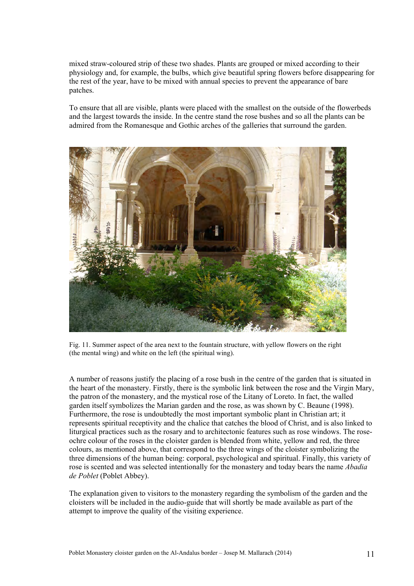mixed straw-coloured strip of these two shades. Plants are grouped or mixed according to their physiology and, for example, the bulbs, which give beautiful spring flowers before disappearing for the rest of the year, have to be mixed with annual species to prevent the appearance of bare patches.

To ensure that all are visible, plants were placed with the smallest on the outside of the flowerbeds and the largest towards the inside. In the centre stand the rose bushes and so all the plants can be admired from the Romanesque and Gothic arches of the galleries that surround the garden.



Fig. 11. Summer aspect of the area next to the fountain structure, with yellow flowers on the right (the mental wing) and white on the left (the spiritual wing).

A number of reasons justify the placing of a rose bush in the centre of the garden that is situated in the heart of the monastery. Firstly, there is the symbolic link between the rose and the Virgin Mary, the patron of the monastery, and the mystical rose of the Litany of Loreto. In fact, the walled garden itself symbolizes the Marian garden and the rose, as was shown by C. Beaune (1998). Furthermore, the rose is undoubtedly the most important symbolic plant in Christian art; it represents spiritual receptivity and the chalice that catches the blood of Christ, and is also linked to liturgical practices such as the rosary and to architectonic features such as rose windows. The roseochre colour of the roses in the cloister garden is blended from white, yellow and red, the three colours, as mentioned above, that correspond to the three wings of the cloister symbolizing the three dimensions of the human being: corporal, psychological and spiritual. Finally, this variety of rose is scented and was selected intentionally for the monastery and today bears the name *Abadia de Poblet* (Poblet Abbey).

The explanation given to visitors to the monastery regarding the symbolism of the garden and the cloisters will be included in the audio-guide that will shortly be made available as part of the attempt to improve the quality of the visiting experience.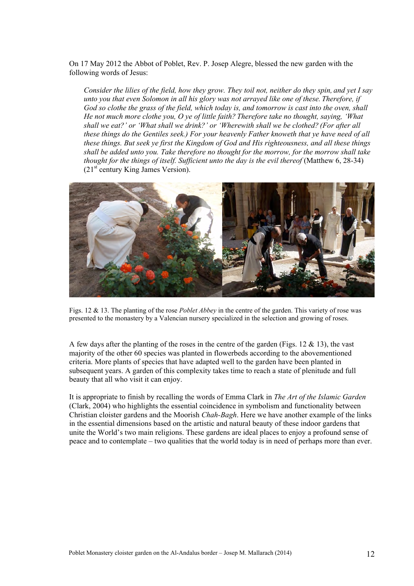On 17 May 2012 the Abbot of Poblet, Rev. P. Josep Alegre, blessed the new garden with the following words of Jesus:

*Consider the lilies of the field, how they grow. They toil not, neither do they spin, and yet I say unto you that even Solomon in all his glory was not arrayed like one of these. Therefore, if God so clothe the grass of the field, which today is, and tomorrow is cast into the oven, shall He not much more clothe you, O ye of little faith? Therefore take no thought, saying, 'What shall we eat?' or 'What shall we drink?' or 'Wherewith shall we be clothed? (For after all these things do the Gentiles seek.) For your heavenly Father knoweth that ye have need of all these things. But seek ye first the Kingdom of God and His righteousness, and all these things shall be added unto you. Take therefore no thought for the morrow, for the morrow shall take thought for the things of itself. Sufficient unto the day is the evil thereof* (Matthew 6, 28-34)  $(21<sup>st</sup>$  century King James Version).



Figs. 12 & 13. The planting of the rose *Poblet Abbey* in the centre of the garden. This variety of rose was presented to the monastery by a Valencian nursery specialized in the selection and growing of roses.

A few days after the planting of the roses in the centre of the garden (Figs. 12  $\&$  13), the vast majority of the other 60 species was planted in flowerbeds according to the abovementioned criteria. More plants of species that have adapted well to the garden have been planted in subsequent years. A garden of this complexity takes time to reach a state of plenitude and full beauty that all who visit it can enjoy.

It is appropriate to finish by recalling the words of Emma Clark in *The Art of the Islamic Garden* (Clark, 2004) who highlights the essential coincidence in symbolism and functionality between Christian cloister gardens and the Moorish *Chah-Bagh*. Here we have another example of the links in the essential dimensions based on the artistic and natural beauty of these indoor gardens that unite the World's two main religions. These gardens are ideal places to enjoy a profound sense of peace and to contemplate – two qualities that the world today is in need of perhaps more than ever.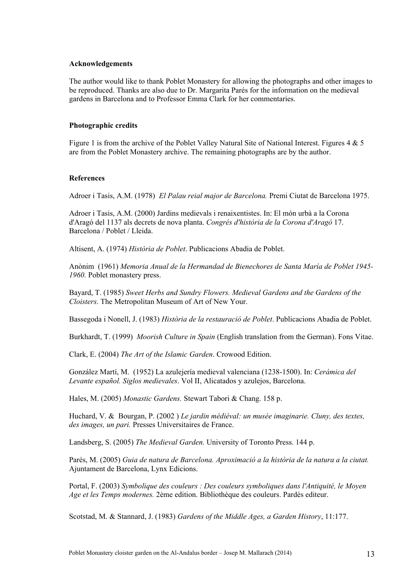#### **Acknowledgements**

The author would like to thank Poblet Monastery for allowing the photographs and other images to be reproduced. Thanks are also due to Dr. Margarita Parés for the information on the medieval gardens in Barcelona and to Professor Emma Clark for her commentaries.

## **Photographic credits**

Figure 1 is from the archive of the Poblet Valley Natural Site of National Interest. Figures 4 & 5 are from the Poblet Monastery archive. The remaining photographs are by the author.

#### **References**

Adroer i Tasis, A.M. (1978) *El Palau reial major de Barcelona.* Premi Ciutat de Barcelona 1975.

Adroer i Tasis, A.M. (2000) Jardins medievals i renaixentistes. In: El món urbà a la Corona d'Aragó del 1137 als decrets de nova planta. *Congrés d'història de la Corona d'Aragó* 17. Barcelona / Poblet / Lleida.

Altisent, A. (1974) *Història de Poblet*. Publicacions Abadia de Poblet.

Anònim (1961) *Memoria Anual de la Hermandad de Bienechores de Santa María de Poblet 1945- 1960.* Poblet monastery press.

Bayard, T. (1985) *Sweet Herbs and Sundry Flowers. Medieval Gardens and the Gardens of the Cloisters*. The Metropolitan Museum of Art of New Your.

Bassegoda i Nonell, J. (1983) *Història de la restauració de Poblet*. Publicacions Abadia de Poblet.

Burkhardt, T. (1999) *Moorish Culture in Spain* (English translation from the German). Fons Vitae.

Clark, E. (2004) *The Art of the Islamic Garden*. Crowood Edition.

González Martí, M. (1952) La azulejería medieval valenciana (1238-1500). In: *Cerámica del Levante español. Siglos medievales*. Vol II, Alicatados y azulejos, Barcelona.

Hales, M. (2005) *Monastic Gardens.* Stewart Tabori & Chang. 158 p.

Huchard, V. & Bourgan, P. (2002 ) *Le jardin médiéval: un musée imaginarie. Cluny, des textes, des images, un pari.* Presses Universitaires de France.

Landsberg, S. (2005) *The Medieval Garden.* University of Toronto Press. 144 p.

Parés, M. (2005) *Guia de natura de Barcelona. Aproximació a la història de la natura a la ciutat.*  Ajuntament de Barcelona, Lynx Edicions.

Portal, F. (2003) *Symbolique des couleurs : Des couleurs symboliques dans l'Antiquité, le Moyen Age et les Temps modernes.* 2ème edition. Bibliothèque des couleurs. Pardès editeur.

Scotstad, M. & Stannard, J. (1983) *Gardens of the Middle Ages, a Garden History*, 11:177.